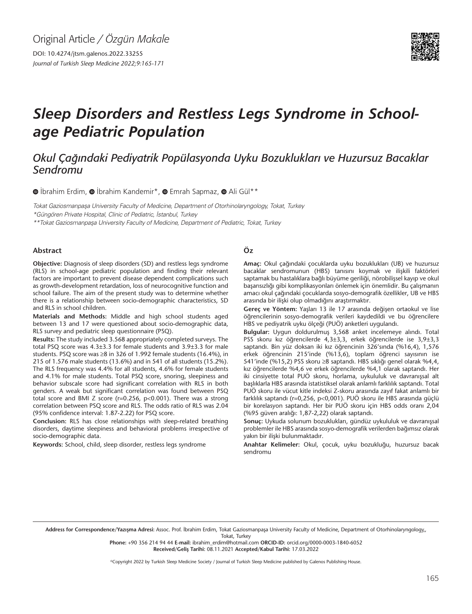DOI: 10.4274/jtsm.galenos.2022.33255 *Journal of Turkish Sleep Medicine 2022;9:165-171*



# *Sleep Disorders and Restless Legs Syndrome in Schoolage Pediatric Population*

# *Okul Çağındaki Pediyatrik Popülasyonda Uyku Bozuklukları ve Huzursuz Bacaklar Sendromu*

 $\bullet$ İbrahim Erdim,  $\bullet$  İbrahim Kandemir\*,  $\bullet$  Emrah Sapmaz,  $\bullet$  Ali Gül\*\*

Tokat Gaziosmanpaşa University Faculty of Medicine, Department of Otorhinolaryngology, Tokat, Turkey \*Güngören Private Hospital, Clinic of Pediatric, İstanbul, Turkey

\*\*Tokat Gaziosmanpaşa University Faculty of Medicine, Department of Pediatric, Tokat, Turkey

#### **Abstract**

**Objective:** Diagnosis of sleep disorders (SD) and restless legs syndrome (RLS) in school-age pediatric population and finding their relevant factors are important to prevent disease dependent complications such as growth-development retardation, loss of neurocognitive function and school failure. The aim of the present study was to determine whether there is a relationship between socio-demographic characteristics, SD and RLS in school children.

**Materials and Methods:** Middle and high school students aged between 13 and 17 were questioned about socio-demographic data, RLS survey and pediatric sleep questionnaire (PSQ).

**Results:** The study included 3.568 appropriately completed surveys. The total PSQ score was 4.3±3.3 for female students and 3.9±3.3 for male students. PSQ score was ≥8 in 326 of 1.992 female students (16.4%), in 215 of 1.576 male students (13.6%) and in 541 of all students (15.2%). The RLS frequency was 4.4% for all students, 4.6% for female students and 4.1% for male students. Total PSQ score, snoring, sleepiness and behavior subscale score had significant correlation with RLS in both genders. A weak but significant correlation was found between PSQ total score and BMI Z score (r=0.256, p<0.001). There was a strong correlation between PSQ score and RLS. The odds ratio of RLS was 2.04 (95% confidence interval: 1.87-2.22) for PSQ score.

**Conclusion:** RLS has close relationships with sleep-related breathing disorders, daytime sleepiness and behavioral problems irrespective of socio-demographic data.

**Keywords:** School, child, sleep disorder, restless legs syndrome

#### **Öz**

**Amaç:** Okul çağındaki çocuklarda uyku bozuklukları (UB) ve huzursuz bacaklar sendromunun (HBS) tanısını koymak ve ilişkili faktörleri saptamak bu hastalıklara bağlı büyüme geriliği, nörobilişsel kayıp ve okul başarısızlığı gibi komplikasyonları önlemek için önemlidir. Bu çalışmanın amacı okul çağındaki çocuklarda sosyo-demografik özellikler, UB ve HBS arasında bir ilişki olup olmadığını araştırmaktır.

**Gereç ve Yöntem:** Yaşları 13 ile 17 arasında değişen ortaokul ve lise öğrencilerinin sosyo-demografik verileri kaydedildi ve bu öğrencilere HBS ve pediyatrik uyku ölçeği (PUÖ) anketleri uygulandı.

**Bulgular:** Uygun doldurulmuş 3,568 anket incelemeye alındı. Total PSS skoru kız öğrencilerde 4,3±3,3, erkek öğrencilerde ise 3,9±3,3 saptandı. Bin yüz doksan iki kız öğrencinin 326'sında (%16,4), 1,576 erkek öğrencinin 215'inde (%13,6), toplam öğrenci sayısının ise 541'inde (%15,2) PSS skoru ≥8 saptandı. HBS sıklığı genel olarak %4,4, kız öğrencilerde %4,6 ve erkek öğrencilerde %4,1 olarak saptandı. Her iki cinsiyette total PUÖ skoru, horlama, uykululuk ve davranışsal alt başlıklarla HBS arasında istatistiksel olarak anlamlı farklılık saptandı. Total PUÖ skoru ile vücut kitle indeksi Z-skoru arasında zayıf fakat anlamlı bir farklılık saptandı (r=0,256, p<0,001). PUÖ skoru ile HBS arasında güçlü bir korelasyon saptandı. Her bir PUÖ skoru için HBS odds oranı 2,04 (%95 güven aralığı: 1,87-2,22) olarak saptandı.

**Sonuç:** Uykuda solunum bozuklukları, gündüz uykululuk ve davranışsal problemler ile HBS arasında sosyo-demografik verilerden bağımsız olarak yakın bir ilişki bulunmaktadır.

**Anahtar Kelimeler:** Okul, çocuk, uyku bozukluğu, huzursuz bacak sendromu

Address for Correspondence/Yazışma Adresi: Assoc. Prof. İbrahim Erdim, Tokat Gaziosmanpaşa University Faculty of Medicine, Department of Otorhinolaryngology,, Tokat, Turkey

**Phone:** +90 356 214 94 44 **E-mail:** ibrahim\_erdim@hotmail.com **ORCID-ID:** orcid.org/0000-0003-1840-6052 **Received/Geliş Tarihi:** 08.11.2021 **Accepted/Kabul Tarihi:** 17.03.2022

©Copyright 2022 by Turkish Sleep Medicine Society / Journal of Turkish Sleep Medicine published by Galenos Publishing House.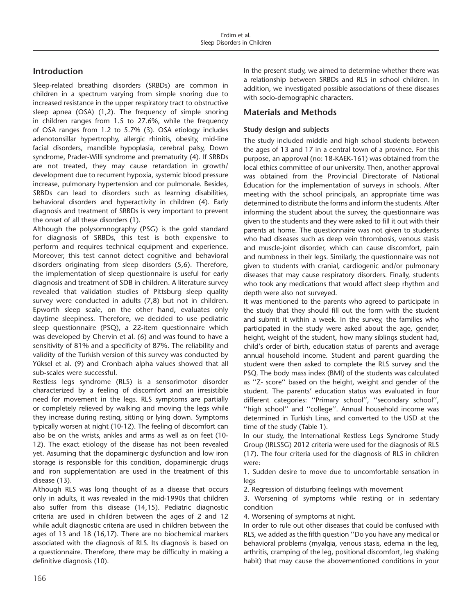# **Introduction**

Sleep-related breathing disorders (SRBDs) are common in children in a spectrum varying from simple snoring due to increased resistance in the upper respiratory tract to obstructive sleep apnea (OSA) (1,2). The frequency of simple snoring in children ranges from 1.5 to 27.6%, while the frequency of OSA ranges from 1.2 to 5.7% (3). OSA etiology includes adenotonsillar hypertrophy, allergic rhinitis, obesity, mid-line facial disorders, mandible hypoplasia, cerebral palsy, Down syndrome, Prader-Willi syndrome and prematurity (4). If SRBDs are not treated, they may cause retardation in growth/ development due to recurrent hypoxia, systemic blood pressure increase, pulmonary hypertension and cor pulmonale. Besides, SRBDs can lead to disorders such as learning disabilities, behavioral disorders and hyperactivity in children (4). Early diagnosis and treatment of SRBDs is very important to prevent the onset of all these disorders (1).

Although the polysomnography (PSG) is the gold standard for diagnosis of SRBDs, this test is both expensive to perform and requires technical equipment and experience. Moreover, this test cannot detect cognitive and behavioral disorders originating from sleep disorders (5,6). Therefore, the implementation of sleep questionnaire is useful for early diagnosis and treatment of SDB in children. A literature survey revealed that validation studies of Pittsburg sleep quality survey were conducted in adults (7,8) but not in children. Epworth sleep scale, on the other hand, evaluates only daytime sleepiness. Therefore, we decided to use pediatric sleep questionnaire (PSQ), a 22-item questionnaire which was developed by Chervin et al. (6) and was found to have a sensitivity of 81% and a specificity of 87%. The reliability and validity of the Turkish version of this survey was conducted by Yüksel et al. (9) and Cronbach alpha values showed that all sub-scales were successful.

Restless legs syndrome (RLS) is a sensorimotor disorder characterized by a feeling of discomfort and an irresistible need for movement in the legs. RLS symptoms are partially or completely relieved by walking and moving the legs while they increase during resting, sitting or lying down. Symptoms typically worsen at night (10-12). The feeling of discomfort can also be on the wrists, ankles and arms as well as on feet (10- 12). The exact etiology of the disease has not been revealed yet. Assuming that the dopaminergic dysfunction and low iron storage is responsible for this condition, dopaminergic drugs and iron supplementation are used in the treatment of this disease (13).

Although RLS was long thought of as a disease that occurs only in adults, it was revealed in the mid-1990s that children also suffer from this disease (14,15). Pediatric diagnostic criteria are used in children between the ages of 2 and 12 while adult diagnostic criteria are used in children between the ages of 13 and 18 (16,17). There are no biochemical markers associated with the diagnosis of RLS. Its diagnosis is based on a questionnaire. Therefore, there may be difficulty in making a definitive diagnosis (10).

In the present study, we aimed to determine whether there was a relationship between SRBDs and RLS in school children. In addition, we investigated possible associations of these diseases with socio-demographic characters.

## **Materials and Methods**

#### **Study design and subjects**

The study included middle and high school students between the ages of 13 and 17 in a central town of a province. For this purpose, an approval (no: 18-KAEK-161) was obtained from the local ethics committee of our university. Then, another approval was obtained from the Provincial Directorate of National Education for the implementation of surveys in schools. After meeting with the school principals, an appropriate time was determined to distribute the forms and inform the students. After informing the student about the survey, the questionnaire was given to the students and they were asked to fill it out with their parents at home. The questionnaire was not given to students who had diseases such as deep vein thrombosis, venous stasis and muscle-joint disorder, which can cause discomfort, pain and numbness in their legs. Similarly, the questionnaire was not given to students with cranial, cardiogenic and/or pulmonary diseases that may cause respiratory disorders. Finally, students who took any medications that would affect sleep rhythm and depth were also not surveyed.

It was mentioned to the parents who agreed to participate in the study that they should fill out the form with the student and submit it within a week. In the survey, the families who participated in the study were asked about the age, gender, height, weight of the student, how many siblings student had, child's order of birth, education status of parents and average annual household income. Student and parent guarding the student were then asked to complete the RLS survey and the PSQ. The body mass index (BMI) of the students was calculated as ''Z- score'' based on the height, weight and gender of the student. The parents' education status was evaluated in four different categories: ''Primary school'', ''secondary school'', "high school" and "college". Annual household income was determined in Turkish Liras, and converted to the USD at the time of the study (Table 1).

In our study, the International Restless Legs Syndrome Study Group (IRLSSG) 2012 criteria were used for the diagnosis of RLS (17). The four criteria used for the diagnosis of RLS in children were:

1. Sudden desire to move due to uncomfortable sensation in legs

2. Regression of disturbing feelings with movement

3. Worsening of symptoms while resting or in sedentary condition

4. Worsening of symptoms at night.

In order to rule out other diseases that could be confused with RLS, we added as the fifth question ''Do you have any medical or behavioral problems (myalgia, venous stasis, edema in the leg, arthritis, cramping of the leg, positional discomfort, leg shaking habit) that may cause the abovementioned conditions in your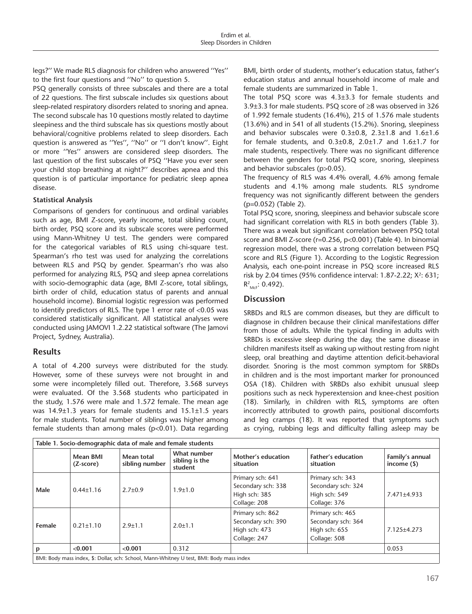legs?'' We made RLS diagnosis for children who answered ''Yes'' to the first four questions and ''No'' to question 5.

PSQ generally consists of three subscales and there are a total of 22 questions. The first subscale includes six questions about sleep-related respiratory disorders related to snoring and apnea. The second subscale has 10 questions mostly related to daytime sleepiness and the third subscale has six questions mostly about behavioral/cognitive problems related to sleep disorders. Each question is answered as ''Yes'', ''No'' or ''I don't know''. Eight or more ''Yes'' answers are considered sleep disorders. The last question of the first subscales of PSQ ''Have you ever seen your child stop breathing at night?'' describes apnea and this question is of particular importance for pediatric sleep apnea disease.

#### **Statistical Analysis**

Comparisons of genders for continuous and ordinal variables such as age, BMI Z-score, yearly income, total sibling count, birth order, PSQ score and its subscale scores were performed using Mann-Whitney U test. The genders were compared for the categorical variables of RLS using chi-square test. Spearman's rho test was used for analyzing the correlations between RLS and PSQ by gender. Spearman's rho was also performed for analyzing RLS, PSQ and sleep apnea correlations with socio-demographic data (age, BMI Z-score, total siblings, birth order of child, education status of parents and annual household income). Binomial logistic regression was performed to identify predictors of RLS. The type 1 error rate of <0.05 was considered statistically significant. All statistical analyses were conducted using JAMOVI 1.2.22 statistical software (The Jamovi Project, Sydney, Australia).

#### **Results**

A total of 4.200 surveys were distributed for the study. However, some of these surveys were not brought in and some were incompletely filled out. Therefore, 3.568 surveys were evaluated. Of the 3.568 students who participated in the study, 1.576 were male and 1.572 female. The mean age was 14.9±1.3 years for female students and 15.1±1.5 years for male students. Total number of siblings was higher among female students than among males (p<0.01). Data regarding

BMI, birth order of students, mother's education status, father's education status and annual household income of male and female students are summarized in Table 1.

The total PSQ score was 4.3±3.3 for female students and 3.9±3.3 for male students. PSQ score of ≥8 was observed in 326 of 1.992 female students (16.4%), 215 of 1.576 male students (13.6%) and in 541 of all students (15.2%). Snoring, sleepiness and behavior subscales were  $0.3\pm0.8$ ,  $2.3\pm1.8$  and  $1.6\pm1.6$ for female students, and  $0.3\pm0.8$ ,  $2.0\pm1.7$  and  $1.6\pm1.7$  for male students, respectively. There was no significant difference between the genders for total PSQ score, snoring, sleepiness and behavior subscales (p>0.05).

The frequency of RLS was 4.4% overall, 4.6% among female students and 4.1% among male students. RLS syndrome frequency was not significantly different between the genders (p=0.052) (Table 2).

Total PSQ score, snoring, sleepiness and behavior subscale score had significant correlation with RLS in both genders (Table 3). There was a weak but significant correlation between PSQ total score and BMI Z-score (r=0.256, p<0.001) (Table 4). In binomial regression model, there was a strong correlation between PSQ score and RLS (Figure 1). According to the Logistic Regression Analysis, each one-point increase in PSQ score increased RLS risk by 2.04 times (95% confidence interval:  $1.87 - 2.22$ ;  $X^2$ : 631;  $R^2_{MCF}$ : 0.492).

### **Discussion**

SRBDs and RLS are common diseases, but they are difficult to diagnose in children because their clinical manifestations differ from those of adults. While the typical finding in adults with SRBDs is excessive sleep during the day, the same disease in children manifests itself as waking up without resting from night sleep, oral breathing and daytime attention deficit-behavioral disorder. Snoring is the most common symptom for SRBDs in children and is the most important marker for pronounced OSA (18). Children with SRBDs also exhibit unusual sleep positions such as neck hyperextension and knee-chest position (18). Similarly, in children with RLS, symptoms are often incorrectly attributed to growth pains, positional discomforts and leg cramps (18). It was reported that symptoms such as crying, rubbing legs and difficulty falling asleep may be

| Table 1. Socio-demographic data of male and female students                              |                       |                              |                                          |                                                                         |                                                                         |                                 |
|------------------------------------------------------------------------------------------|-----------------------|------------------------------|------------------------------------------|-------------------------------------------------------------------------|-------------------------------------------------------------------------|---------------------------------|
|                                                                                          | Mean BMI<br>(Z-score) | Mean total<br>sibling number | What number<br>sibling is the<br>student | Mother's education<br>situation                                         | <b>Father's education</b><br>situation                                  | Family's annual<br>income $($ ) |
| Male                                                                                     | $0.44 \pm 1.16$       | $2.7 \pm 0.9$                | $1.9 \pm 1.0$                            | Primary sch: 641<br>Secondary sch: 338<br>High sch: 385<br>Collage: 208 | Primary sch: 343<br>Secondary sch: 324<br>High sch: 549<br>Collage: 376 | 7.471±4.933                     |
| Female                                                                                   | $0.21 \pm 1.10$       | $2.9 + 1.1$                  | $2.0 \pm 1.1$                            | Primary sch: 862<br>Secondary sch: 390<br>High sch: 473<br>Collage: 247 | Primary sch: 465<br>Secondary sch: 364<br>High sch: 655<br>Collage: 508 | 7.125±4.273                     |
| р                                                                                        | < 0.001               | < 0.001                      | 0.312                                    |                                                                         |                                                                         | 0.053                           |
| BMI: Body mass index, \$: Dollar, sch: School, Mann-Whitney U test, BMI: Body mass index |                       |                              |                                          |                                                                         |                                                                         |                                 |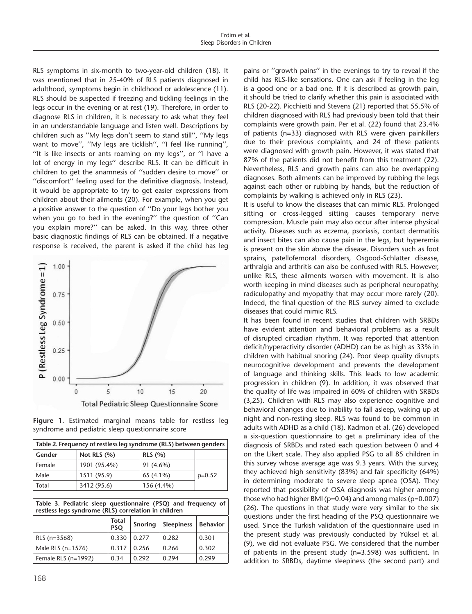RLS symptoms in six-month to two-year-old children (18). It was mentioned that in 25-40% of RLS patients diagnosed in adulthood, symptoms begin in childhood or adolescence (11). RLS should be suspected if freezing and tickling feelings in the legs occur in the evening or at rest (19). Therefore, in order to diagnose RLS in children, it is necessary to ask what they feel in an understandable language and listen well. Descriptions by children such as ''My legs don't seem to stand still'', ''My legs want to move'', ''My legs are ticklish'', ''I feel like running'', ''It is like insects or ants roaming on my legs'', or ''I have a lot of energy in my legs'' describe RLS. It can be difficult in children to get the anamnesis of ''sudden desire to move'' or ''discomfort'' feeling used for the definitive diagnosis. Instead, it would be appropriate to try to get easier expressions from children about their ailments (20). For example, when you get a positive answer to the question of ''Do your legs bother you when you go to bed in the evening?'' the question of ''Can you explain more?'' can be asked. In this way, three other basic diagnostic findings of RLS can be obtained. If a negative response is received, the parent is asked if the child has leg



**Figure 1.** Estimated marginal means table for restless leg syndrome and pediatric sleep questionnaire score

| Table 2. Frequency of restless leg syndrome (RLS) between genders |                         |            |          |  |  |
|-------------------------------------------------------------------|-------------------------|------------|----------|--|--|
| Gender                                                            | Not RLS $(%)$<br>RLS(%) |            |          |  |  |
| Female                                                            | 1901 (95.4%)            | 91 (4.6%)  |          |  |  |
| Male                                                              | 1511 (95.9)             | 65 (4.1%)  | $p=0.52$ |  |  |
| Total                                                             | 3412 (95.6)             | 156 (4.4%) |          |  |  |

| Table 3. Pediatric sleep questionnaire (PSQ) and frequency of<br>restless legs syndrome (RLS) correlation in children |                            |         |                   |                 |  |  |
|-----------------------------------------------------------------------------------------------------------------------|----------------------------|---------|-------------------|-----------------|--|--|
|                                                                                                                       | <b>Total</b><br><b>PSO</b> | Snoring | <b>Sleepiness</b> | <b>Behavior</b> |  |  |
| RLS $(n=3568)$                                                                                                        | 0.330                      | 0.277   | 0.282             | 0.301           |  |  |
| Male RLS $(n=1576)$                                                                                                   | 0.317                      | 0.256   | 0.266             | 0.302           |  |  |
| Female RLS $(n=1992)$                                                                                                 | 0.34                       | 0.292   | 0.294             | 0.299           |  |  |

pains or ''growth pains'' in the evenings to try to reveal if the child has RLS-like sensations. One can ask if feeling in the leg is a good one or a bad one. If it is described as growth pain, it should be tried to clarify whether this pain is associated with RLS (20-22). Picchietti and Stevens (21) reported that 55.5% of children diagnosed with RLS had previously been told that their complaints were growth pain. Per et al. (22) found that 23.4% of patients (n=33) diagnosed with RLS were given painkillers due to their previous complaints, and 24 of these patients were diagnosed with growth pain. However, it was stated that 87% of the patients did not benefit from this treatment (22). Nevertheless, RLS and growth pains can also be overlapping diagnoses. Both ailments can be improved by rubbing the legs against each other or rubbing by hands, but the reduction of complaints by walking is achieved only in RLS (23).

It is useful to know the diseases that can mimic RLS. Prolonged sitting or cross-legged sitting causes temporary nerve compression. Muscle pain may also occur after intense physical activity. Diseases such as eczema, psoriasis, contact dermatitis and insect bites can also cause pain in the legs, but hyperemia is present on the skin above the disease. Disorders such as foot sprains, patellofemoral disorders, Osgood-Schlatter disease, arthralgia and arthritis can also be confused with RLS. However, unlike RLS, these ailments worsen with movement. It is also worth keeping in mind diseases such as peripheral neuropathy, radiculopathy and myopathy that may occur more rarely (20). Indeed, the final question of the RLS survey aimed to exclude diseases that could mimic RLS.

It has been found in recent studies that children with SRBDs have evident attention and behavioral problems as a result of disrupted circadian rhythm. It was reported that attention deficit/hyperactivity disorder (ADHD) can be as high as 33% in children with habitual snoring (24). Poor sleep quality disrupts neurocognitive development and prevents the development of language and thinking skills. This leads to low academic progression in children (9). In addition, it was observed that the quality of life was impaired in 60% of children with SRBDs (3,25). Children with RLS may also experience cognitive and behavioral changes due to inability to fall asleep, waking up at night and non-resting sleep. RLS was found to be common in adults with ADHD as a child (18). Kadmon et al. (26) developed a six-question questionnaire to get a preliminary idea of the diagnosis of SRBDs and rated each question between 0 and 4 on the Likert scale. They also applied PSG to all 85 children in this survey whose average age was 9.3 years. With the survey, they achieved high sensitivity (83%) and fair specificity (64%) in determining moderate to severe sleep apnea (OSA). They reported that possibility of OSA diagnosis was higher among those who had higher BMI (p=0.04) and among males (p=0.007) (26). The questions in that study were very similar to the six questions under the first heading of the PSQ questionnaire we used. Since the Turkish validation of the questionnaire used in the present study was previously conducted by Yüksel et al. (9), we did not evaluate PSG. We considered that the number of patients in the present study (n=3.598) was sufficient. In addition to SRBDs, daytime sleepiness (the second part) and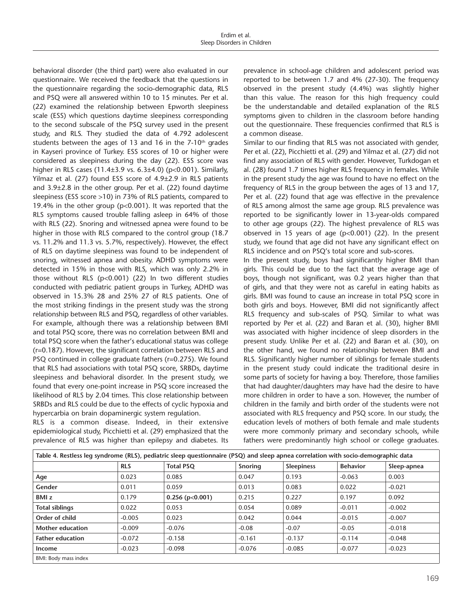behavioral disorder (the third part) were also evaluated in our questionnaire. We received the feedback that the questions in the questionnaire regarding the socio-demographic data, RLS and PSQ were all answered within 10 to 15 minutes. Per et al. (22) examined the relationship between Epworth sleepiness scale (ESS) which questions daytime sleepiness corresponding to the second subscale of the PSQ survey used in the present study, and RLS. They studied the data of 4.792 adolescent students between the ages of 13 and 16 in the  $7-10<sup>th</sup>$  grades in Kayseri province of Turkey. ESS scores of 10 or higher were considered as sleepiness during the day (22). ESS score was higher in RLS cases  $(11.4\pm3.9 \text{ vs. } 6.3\pm4.0)$  (p<0.001). Similarly, Yilmaz et al. (27) found ESS score of 4.9±2.9 in RLS patients and 3.9±2.8 in the other group. Per et al. (22) found daytime sleepiness (ESS score >10) in 73% of RLS patients, compared to 19.4% in the other group (p<0.001). It was reported that the RLS symptoms caused trouble falling asleep in 64% of those with RLS (22). Snoring and witnessed apnea were found to be higher in those with RLS compared to the control group (18.7 vs. 11.2% and 11.3 vs. 5.7%, respectively). However, the effect of RLS on daytime sleepiness was found to be independent of snoring, witnessed apnea and obesity. ADHD symptoms were detected in 15% in those with RLS, which was only 2.2% in those without RLS (p<0.001) (22) In two different studies conducted with pediatric patient groups in Turkey, ADHD was observed in 15.3% 28 and 25% 27 of RLS patients. One of the most striking findings in the present study was the strong relationship between RLS and PSQ, regardless of other variables. For example, although there was a relationship between BMI and total PSQ score, there was no correlation between BMI and total PSQ score when the father's educational status was college (r=0.187). However, the significant correlation between RLS and PSQ continued in college graduate fathers (r=0.275). We found that RLS had associations with total PSQ score, SRBDs, daytime sleepiness and behavioral disorder. In the present study, we found that every one-point increase in PSQ score increased the likelihood of RLS by 2.04 times. This close relationship between SRBDs and RLS could be due to the effects of cyclic hypoxia and hypercarbia on brain dopaminergic system regulation.

RLS is a common disease. Indeed, in their extensive epidemiological study, Picchietti et al. (29) emphasized that the prevalence of RLS was higher than epilepsy and diabetes. Its

prevalence in school-age children and adolescent period was reported to be between 1.7 and 4% (27-30). The frequency observed in the present study (4.4%) was slightly higher than this value. The reason for this high frequency could be the understandable and detailed explanation of the RLS symptoms given to children in the classroom before handing out the questionnaire. These frequencies confirmed that RLS is a common disease.

Similar to our finding that RLS was not associated with gender, Per et al. (22), Picchietti et al. (29) and Yilmaz et al. (27) did not find any association of RLS with gender. However, Turkdogan et al. (28) found 1.7 times higher RLS frequency in females. While in the present study the age was found to have no effect on the frequency of RLS in the group between the ages of 13 and 17, Per et al. (22) found that age was effective in the prevalence of RLS among almost the same age group. RLS prevalence was reported to be significantly lower in 13-year-olds compared to other age groups (22). The highest prevalence of RLS was observed in 15 years of age (p<0.001) (22). In the present study, we found that age did not have any significant effect on RLS incidence and on PSQ's total score and sub-scores.

In the present study, boys had significantly higher BMI than girls. This could be due to the fact that the average age of boys, though not significant, was 0.2 years higher than that of girls, and that they were not as careful in eating habits as girls. BMI was found to cause an increase in total PSQ score in both girls and boys. However, BMI did not significantly affect RLS frequency and sub-scales of PSQ. Similar to what was reported by Per et al. (22) and Baran et al. (30), higher BMI was associated with higher incidence of sleep disorders in the present study. Unlike Per et al. (22) and Baran et al. (30), on the other hand, we found no relationship between BMI and RLS. Significantly higher number of siblings for female students in the present study could indicate the traditional desire in some parts of society for having a boy. Therefore, those families that had daughter/daughters may have had the desire to have more children in order to have a son. However, the number of children in the family and birth order of the students were not associated with RLS frequency and PSQ score. In our study, the education levels of mothers of both female and male students were more commonly primary and secondary schools, while fathers were predominantly high school or college graduates.

| Table 4. Restless leg syndrome (RLS), pediatric sleep questionnaire (PSQ) and sleep apnea correlation with socio-demographic data |            |                   |                |                   |                 |             |
|-----------------------------------------------------------------------------------------------------------------------------------|------------|-------------------|----------------|-------------------|-----------------|-------------|
|                                                                                                                                   | <b>RLS</b> | <b>Total PSQ</b>  | <b>Snoring</b> | <b>Sleepiness</b> | <b>Behavior</b> | Sleep-apnea |
| Age                                                                                                                               | 0.023      | 0.085             | 0.047          | 0.193             | $-0.063$        | 0.003       |
| Gender                                                                                                                            | 0.011      | 0.059             | 0.013          | 0.083             | 0.022           | $-0.021$    |
| <b>BMI</b> z                                                                                                                      | 0.179      | $0.256$ (p<0.001) | 0.215          | 0.227             | 0.197           | 0.092       |
| <b>Total siblings</b>                                                                                                             | 0.022      | 0.053             | 0.054          | 0.089             | $-0.011$        | $-0.002$    |
| Order of child                                                                                                                    | $-0.005$   | 0.023             | 0.042          | 0.044             | $-0.015$        | $-0.007$    |
| Mother education                                                                                                                  | $-0.009$   | $-0.076$          | $-0.08$        | $-0.07$           | $-0.05$         | $-0.018$    |
| <b>Father education</b>                                                                                                           | $-0.072$   | $-0.158$          | $-0.161$       | $-0.137$          | $-0.114$        | $-0.048$    |
| Income                                                                                                                            | $-0.023$   | $-0.098$          | $-0.076$       | $-0.085$          | $-0.077$        | $-0.023$    |
| BMI: Body mass index                                                                                                              |            |                   |                |                   |                 |             |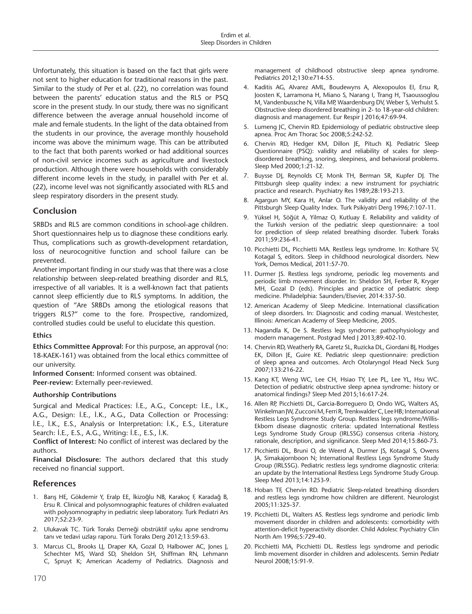Unfortunately, this situation is based on the fact that girls were not sent to higher education for traditional reasons in the past. Similar to the study of Per et al. (22), no correlation was found between the parents' education status and the RLS or PSQ score in the present study. In our study, there was no significant difference between the average annual household income of male and female students. In the light of the data obtained from the students in our province, the average monthly household income was above the minimum wage. This can be attributed to the fact that both parents worked or had additional sources of non-civil service incomes such as agriculture and livestock production. Although there were households with considerably different income levels in the study, in parallel with Per et al. (22), income level was not significantly associated with RLS and sleep respiratory disorders in the present study.

# **Conclusion**

SRBDs and RLS are common conditions in school-age children. Short questionnaires help us to diagnose these conditions early. Thus, complications such as growth-development retardation, loss of neurocognitive function and school failure can be prevented.

Another important finding in our study was that there was a close relationship between sleep-related breathing disorder and RLS, irrespective of all variables. It is a well-known fact that patients cannot sleep efficiently due to RLS symptoms. In addition, the question of "Are SRBDs among the etiological reasons that triggers RLS?" come to the fore. Prospective, randomized, controlled studies could be useful to elucidate this question.

#### **Ethics**

**Ethics Committee Approval:** For this purpose, an approval (no: 18-KAEK-161) was obtained from the local ethics committee of our university.

**Informed Consent:** Informed consent was obtained.

**Peer-review:** Externally peer-reviewed.

#### **Authorship Contributions**

Surgical and Medical Practices: İ.E., A.G., Concept: İ.E., İ.K., A.G., Design: İ.E., İ.K., A.G., Data Collection or Processing: İ.E., İ.K., E.S., Analysis or Interpretation: İ.K., E.S., Literature Search: İ.E., E.S., A.G., Writing: İ.E., E.S., İ.K.

**Conflict of Interest:** No conflict of interest was declared by the authors.

**Financial Disclosure:** The authors declared that this study received no financial support.

#### **References**

- 1. Barış HE, Gökdemir Y, Eralp EE, İkizoğlu NB, Karakoç F, Karadağ B, Ersu R. Clinical and polysomnographic features of children evaluated with polysomnography in pediatric sleep laboratory. Turk Pediatri Ars 2017;52:23-9.
- 2. Ulukavak TC. Türk Toraks Derneği obstrüktif uyku apne sendromu tanı ve tedavi uzlaşı raporu. Türk Toraks Derg 2012;13:59-63.
- 3. Marcus CL, Brooks LJ, Draper KA, Gozal D, Halbower AC, Jones J, Schechter MS, Ward SD, Sheldon SH, Shiffman RN, Lehmann C, Spruyt K; American Academy of Pediatrics. Diagnosis and

management of childhood obstructive sleep apnea syndrome. Pediatrics 2012;130:e714-55.

- 4. Kaditis AG, Alvarez AML, Boudewyns A, Alexopoulos EI, Ersu R, Joosten K, Larramona H, Miano S, Narang I, Trang H, Tsaoussoglou M, Vandenbussche N, Villa MP, Waardenburg DV, Weber S, Verhulst S. Obstructive sleep disordered breathing in 2- to 18-year-old children: diagnosis and management. Eur Respir J 2016;47:69-94.
- 5. Lumeng JC, Chervin RD. Epidemiology of pediatric obstructive sleep apnea. Proc Am Thorac Soc 2008;5:242-52.
- 6. Chervin RD, Hedger KM, Dillon JE, Pituch KJ. Pediatric Sleep Questionnaire (PSQ): validity and reliability of scales for sleepdisordered breathing, snoring, sleepiness, and behavioral problems. Sleep Med 2000;1:21-32.
- 7. Buysse DJ, Reynolds CF, Monk TH, Berman SR, Kupfer DJ. The Pittsburgh sleep quality index: a new instrument for psychiatric practice and research. Psychiatry Res 1989;28:193-213.
- 8. Agargun MY, Kara H, Anlar O. The validity and reliability of the Pittsburgh Sleep Quality Index. Turk Psikiyatri Derg 1996;7:107-11.
- 9. Yüksel H, Söğüt A, Yilmaz O, Kutluay E. Reliability and validity of the Turkish version of the pediatric sleep questionnaire: a tool for prediction of sleep related breathing disorder. Tuberk Toraks 2011;59:236-41.
- 10. Picchietti DL, Picchietti MA. Restless legs syndrome. In: Kothare SV, Kotagal S, editors. Sleep in childhood neurological disorders. New York, Demos Medical, 2011:57-70.
- 11. Durmer JS. Restless legs syndrome, periodic leg movements and periodic limb movement disorder. In: Sheldon SH, Ferber R, Kryger MH, Gozal D (eds). Principles and practice of pediatric sleep medicine. Philadelphia: Saunders/Elsevier, 2014:337-50.
- 12. American Academy of Sleep Medicine. International classification of sleep disorders. In: Diagnostic and coding manual. Westchester, Illinois: American Academy of Sleep Medicine, 2005.
- 13. Nagandla K, De S. Restless legs syndrome: pathophysiology and modern management. Postgrad Med J 2013;89:402-10.
- 14. Chervin RD, Weatherly RA, Garetz SL, Ruzicka DL, Giordani BJ, Hodges EK, Dillon JE, Guire KE. Pediatric sleep questionnaire: prediction of sleep apnea and outcomes. Arch Otolaryngol Head Neck Surg 2007;133:216-22.
- 15. Kang KT, Weng WC, Lee CH, Hsiao TY, Lee PL, Lee YL, Hsu WC. Detection of pediatric obstructive sleep apnea syndrome: history or anatomical findings? Sleep Med 2015;16:617-24.
- 16. Allen RP, Picchietti DL, Garcia-Borreguero D, Ondo WG, Walters AS, Winkelman JW, Zucconi M, Ferri R, Trenkwalder C, Lee HB; International Restless Legs Syndrome Study Group. Restless legs syndrome/Willis-Ekbom disease diagnostic criteria: updated International Restless Legs Syndrome Study Group (IRLSSG) consensus criteria -history, rationale, description, and significance. Sleep Med 2014;15:860-73.
- 17. Picchietti DL, Bruni O, de Weerd A, Durmer JS, Kotagal S, Owens JA, Simakajornboon N; International Restless Legs Syndrome Study Group (IRLSSG). Pediatric restless legs syndrome diagnostic criteria: an update by the International Restless Legs Syndrome Study Group. Sleep Med 2013;14:1253-9.
- 18. Hoban TF, Chervin RD. Pediatric Sleep-related breathing disorders and restless legs syndrome how children are different. Neurologist 2005;11:325-37.
- 19. Picchietti DL, Walters AS. Restless legs syndrome and periodic limb movement disorder in children and adolescents: comorbidity with attention-deficit hyperactivity disorder. Child Adolesc Psychiatry Clin North Am 1996;5:729-40.
- 20. Picchietti MA, Picchietti DL. Restless legs syndrome and periodic limb movement disorder in children and adolescents. Semin Pediatr Neurol 2008;15:91-9.